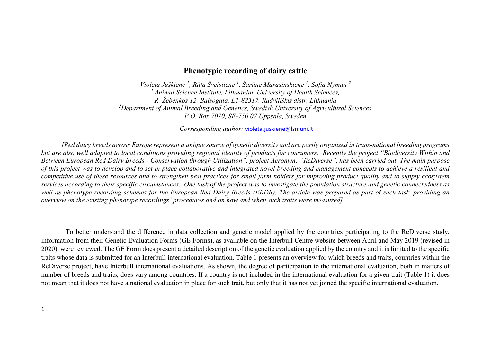## **Phenotypic recording of dairy cattle**

*Violeta Juškiene <sup>1</sup> , Rūta Šveistiene <sup>1</sup> , Šarūne Marašinskiene <sup>1</sup> , Sofia Nyman 2 1 Animal Science Institute, Lithuanian University of Health Sciences, R. Žebenkos 12, Baisogala, LT-82317, Radviliškis distr. Lithuania 2 Department of Animal Breeding and Genetics, Swedish University of Agricultural Sciences, P.O. Box 7070, SE-750 07 Uppsala, Sweden* 

*Corresponding author:* [violeta.juskiene@lsmuni.lt](mailto:violeta.juskiene@lsmuni.lt)

*[Red dairy breeds across Europe represent a unique source of genetic diversity and are partly organized in trans-national breeding programs but are also well adapted to local conditions providing regional identity of products for consumers. Recently the project "Biodiversity Within and Between European Red Dairy Breeds - Conservation through Utilization", project Acronym: "ReDiverse", has been carried out. The main purpose of this project was to develop and to set in place collaborative and integrated novel breeding and management concepts to achieve a resilient and competitive use of these resources and to strengthen best practices for small farm holders for improving product quality and to supply ecosystem services according to their specific circumstances. One task of the project was to investigate the population structure and genetic connectedness as well as phenotype recording schemes for the European Red Dairy Breeds (ERDB). The article was prepared as part of such task, providing an overview on the existing phenotype recordings' procedures and on how and when such traits were measured]*

To better understand the difference in data collection and genetic model applied by the countries participating to the ReDiverse study, information from their Genetic Evaluation Forms (GE Forms), as available on the Interbull Centre website between April and May 2019 (revised in 2020), were reviewed. The GE Form does present a detailed description of the genetic evaluation applied by the country and it is limited to the specific traits whose data is submitted for an Interbull international evaluation. Table 1 presents an overview for which breeds and traits, countries within the ReDiverse project, have Interbull international evaluations. As shown, the degree of participation to the international evaluation, both in matters of number of breeds and traits, does vary among countries. If a country is not included in the international evaluation for a given trait (Table 1) it does not mean that it does not have a national evaluation in place for such trait, but only that it has not yet joined the specific international evaluation.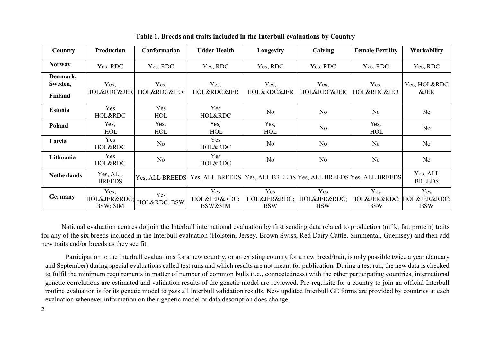| Country                        | <b>Production</b>               | <b>Conformation</b>    | <b>Udder Health</b>                                             | Longevity                        | Calving                          | <b>Female Fertility</b>                      | <b>Workability</b>        |
|--------------------------------|---------------------------------|------------------------|-----------------------------------------------------------------|----------------------------------|----------------------------------|----------------------------------------------|---------------------------|
| <b>Norway</b>                  | Yes, RDC                        | Yes, RDC               | Yes, RDC                                                        | Yes, RDC                         | Yes, RDC                         | Yes, RDC                                     | Yes, RDC                  |
| Denmark,<br>Sweden,<br>Finland | Yes,<br>HOL&RDC&JER             | Yes,<br>HOL&RDC&JER    | Yes,<br>HOL&RDC&JER                                             | Yes,<br>HOL&RDC&JER              | Yes,<br>HOL&RDC&JER              | Yes,<br>HOL&RDC&JER                          | Yes, HOL&RDC<br>&JER      |
| <b>Estonia</b>                 | Yes<br>HOL&RDC                  | Yes<br>HOL             | Yes<br>HOL&RDC                                                  | No                               | No                               | No                                           | No                        |
| Poland                         | Yes,<br>HOL                     | Yes,<br>HOL            | Yes,<br>HOL                                                     | Yes,<br>HOL                      | No                               | Yes,<br>HOL                                  | No                        |
| Latvia                         | Yes<br>HOL&RDC                  | No                     | Yes<br>HOL&RDC                                                  | No                               | No                               | No                                           | No                        |
| Lithuania                      | Yes<br>HOL&RDC                  | No                     | Yes<br>HOL&RDC                                                  | No                               | No                               | No.                                          | N <sub>o</sub>            |
| <b>Netherlands</b>             | Yes, ALL<br><b>BREEDS</b>       | <b>Yes, ALL BREEDS</b> | Yes, ALL BREEDS Yes, ALL BREEDS Yes, ALL BREEDS Yes, ALL BREEDS |                                  |                                  |                                              | Yes, ALL<br><b>BREEDS</b> |
| Germany                        | Yes,<br>HOL&JER&RDC<br>BSW; SIM | Yes<br>HOL&RDC, BSW    | Yes<br>HOL&JER&RDC<br><b>BSW&amp;SIM</b>                        | Yes<br>HOL&JER&RDC<br><b>BSW</b> | Yes<br>HOL&JER&RDC<br><b>BSW</b> | Yes<br>HOL&JER&RDC HOL&JER&RDC<br><b>BSW</b> | Yes<br><b>BSW</b>         |

**Table 1. Breeds and traits included in the Interbull evaluations by Country**

National evaluation centres do join the Interbull international evaluation by first sending data related to production (milk, fat, protein) traits for any of the six breeds included in the Interbull evaluation (Holstein, Jersey, Brown Swiss, Red Dairy Cattle, Simmental, Guernsey) and then add new traits and/or breeds as they see fit.

Participation to the Interbull evaluations for a new country, or an existing country for a new breed/trait, is only possible twice a year (January and September) during special evaluations called test runs and which results are not meant for publication. During a test run, the new data is checked to fulfil the minimum requirements in matter of number of common bulls (i.e., connectedness) with the other participating countries, international genetic correlations are estimated and validation results of the genetic model are reviewed. Pre-requisite for a country to join an official Interbull routine evaluation is for its genetic model to pass all Interbull validation results. New updated Interbull GE forms are provided by countries at each evaluation whenever information on their genetic model or data description does change.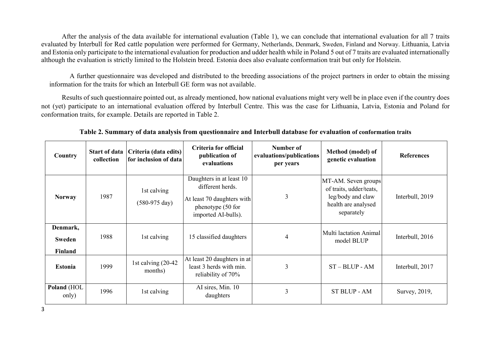After the analysis of the data available for international evaluation (Table 1), we can conclude that international evaluation for all 7 traits evaluated by Interbull for Red cattle population were performed for Germany, Netherlands, Denmark, Sweden, Finland and Norway. Lithuania, Latvia and Estonia only participate to the international evaluation for production and udder health while in Poland 5 out of 7 traits are evaluated internationally although the evaluation is strictly limited to the Holstein breed. Estonia does also evaluate conformation trait but only for Holstein.

A further questionnaire was developed and distributed to the breeding associations of the project partners in order to obtain the missing information for the traits for which an Interbull GE form was not available.

Results of such questionnaire pointed out, as already mentioned, how national evaluations might very well be in place even if the country does not (yet) participate to an international evaluation offered by Interbull Centre. This was the case for Lithuania, Latvia, Estonia and Poland for conformation traits, for example. Details are reported in Table 2.

| Country                              | <b>Start of data</b><br>collection | Criteria (data edits)<br>for inclusion of data | Criteria for official<br>publication of<br>evaluations                                                                 | Number of<br>evaluations/publications<br>per years | Method (model) of<br>genetic evaluation                                                                  | <b>References</b> |
|--------------------------------------|------------------------------------|------------------------------------------------|------------------------------------------------------------------------------------------------------------------------|----------------------------------------------------|----------------------------------------------------------------------------------------------------------|-------------------|
| <b>Norway</b>                        | 1987                               | 1st calving<br>$(580-975 \text{ day})$         | Daughters in at least 10<br>different herds.<br>At least 70 daughters with<br>phenotype (50 for<br>imported AI-bulls). | 3                                                  | MT-AM. Seven groups<br>of traits, udder/teats,<br>leg/body and claw<br>health are analysed<br>separately | Interbull, 2019   |
| Denmark,<br><b>Sweden</b><br>Finland | 1988                               | 1st calving                                    | 15 classified daughters                                                                                                | 4                                                  | Multi lactation Animal<br>model BLUP                                                                     | Interbull, 2016   |
| <b>Estonia</b>                       | 1999                               | 1st calving (20-42)<br>months)                 | At least 20 daughters in at<br>least 3 herds with min.<br>reliability of 70%                                           | 3                                                  | $ST - BLUP - AM$                                                                                         | Interbull, 2017   |
| Poland (HOL<br>only)                 | 1996                               | 1st calving                                    | AI sires, Min. 10<br>daughters                                                                                         | 3                                                  | <b>ST BLUP - AM</b>                                                                                      | Survey, 2019,     |

**Table 2. Summary of data analysis from questionnaire and Interbull database for evaluation of conformation traits**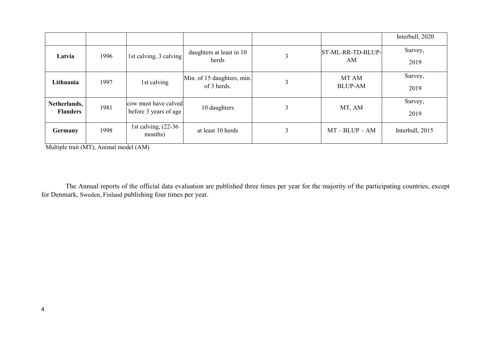|                                 |      |                                               |                                           |   |                         | Interbull, 2020 |
|---------------------------------|------|-----------------------------------------------|-------------------------------------------|---|-------------------------|-----------------|
| Latvia                          | 1996 | 1st calving, 3 calving                        | daughters at least in 10<br>herds         |   | ST-ML-RR-TD-BLUP-<br>AM | Survey,<br>2019 |
| Lithuania                       | 1997 | 1st calving                                   | Min. of 15 daughters, min.<br>of 3 herds. | 3 | MT AM<br><b>BLUP-AM</b> | Survey,<br>2019 |
| Netherlands,<br><b>Flanders</b> | 1981 | cow must have calved<br>before 3 years of age | 10 daughters                              | 3 | MT, AM                  | Survey,<br>2019 |
| Germany                         | 1998 | 1st calving, $(22-36)$<br>months)             | at least 10 herds                         | 3 | $MT - BLUP - AM$        | Interbull, 2015 |

Multiple trait (MT), Animal model (AM)

The Annual reports of the official data evaluation are published three times per year for the majority of the participating countries, except for Denmark, Sweden, Finland publishing four times per year.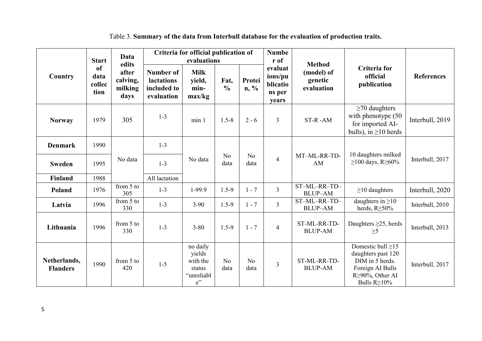|                                 | <b>Start</b>                 | Data<br>edits                        |                                                             | Criteria for official publication of<br>evaluations             |                        |                        | <b>Numbe</b><br>r of                              | <b>Method</b>                       |                                                                                                                               |                   |
|---------------------------------|------------------------------|--------------------------------------|-------------------------------------------------------------|-----------------------------------------------------------------|------------------------|------------------------|---------------------------------------------------|-------------------------------------|-------------------------------------------------------------------------------------------------------------------------------|-------------------|
| Country                         | of<br>data<br>collec<br>tion | after<br>calving,<br>milking<br>days | <b>Number of</b><br>lactations<br>included to<br>evaluation | <b>Milk</b><br>yield,<br>min-<br>max/kg                         | Fat,<br>$\frac{0}{0}$  | Protei<br>$n, \%$      | evaluat<br>ions/pu<br>blicatio<br>ns per<br>years | (model) of<br>genetic<br>evaluation | <b>Criteria</b> for<br>official<br>publication                                                                                | <b>References</b> |
| <b>Norway</b>                   | 1979                         | 305                                  | $1 - 3$                                                     | min <sub>1</sub>                                                | $1.5 - 8$              | $2 - 6$                | 3                                                 | ST-R-AM                             | $\geq$ 70 daughters<br>with phenotype (50<br>for imported AI-<br>bulls), in $\geq$ 10 herds                                   | Interbull, 2019   |
| <b>Denmark</b>                  | 1990                         |                                      | $1 - 3$                                                     |                                                                 |                        |                        |                                                   |                                     |                                                                                                                               |                   |
| <b>Sweden</b>                   | 1995                         | No data                              | $1 - 3$                                                     | No data                                                         | No<br>data             | N <sub>o</sub><br>data | $\overline{4}$                                    | MT-ML-RR-TD-<br>AM                  | 10 daughters milked<br>$≥100$ days, R≥60%                                                                                     | Interbull, 2017   |
| Finland                         | 1988                         |                                      | All lactation                                               |                                                                 |                        |                        |                                                   |                                     |                                                                                                                               |                   |
| Poland                          | 1976                         | from 5 to<br>305                     | $1 - 3$                                                     | 1-99.9                                                          | $1.5 - 9$              | $1 - 7$                | $\overline{3}$                                    | ST-ML-RR-TD-<br><b>BLUP-AM</b>      | $\geq$ 10 daughters                                                                                                           | Interbull, 2020   |
| Latvia                          | 1996                         | from 5 to<br>330                     | $1 - 3$                                                     | $3 - 90$                                                        | $1.5 - 9$              | $1 - 7$                | $\overline{3}$                                    | ST-ML-RR-TD-<br><b>BLUP-AM</b>      | daughters in $\geq 10$<br>herds, $R \geq 50\%$                                                                                | Interbull, 2010   |
| Lithuania                       | 1996                         | from 5 to<br>330                     | $1 - 3$                                                     | $3 - 80$                                                        | $1.5 - 9$              | $1 - 7$                | $\overline{4}$                                    | ST-ML-RR-TD-<br><b>BLUP-AM</b>      | Daughters $\geq$ 25, herds<br>$\geq 5$                                                                                        | Interbull, 2013   |
| Netherlands,<br><b>Flanders</b> | 1990                         | from 5 to<br>420                     | $1 - 5$                                                     | no daily<br>yields<br>with the<br>status<br>"unreliabl<br>$e$ " | N <sub>o</sub><br>data | N <sub>o</sub><br>data | 3                                                 | ST-ML-RR-TD-<br><b>BLUP-AM</b>      | Domestic bull $\geq$ 15<br>daughters past 120<br>DIM in 5 herds.<br>Foreign AI Bulls<br>R≥90%, Other AI<br>Bulls $R \ge 10\%$ | Interbull, 2017   |

# Table 3. **Summary of the data from Interbull database for the evaluation of production traits.**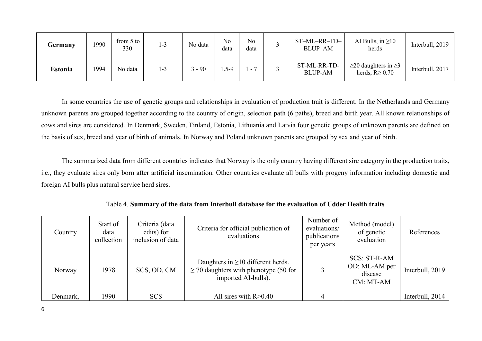| Germany        | 1990 | from 5 to<br>330 | $1 - 3$ | No data  | No<br>data | No<br>data | ST-ML-RR-TD-<br><b>BLUP-AM</b> | AI Bulls, in $\geq 10$<br>herds                         | Interbull, 2019 |
|----------------|------|------------------|---------|----------|------------|------------|--------------------------------|---------------------------------------------------------|-----------------|
| <b>Estonia</b> | 1994 | No data          | $1 - 3$ | $3 - 90$ | .5-9       | - 7        | ST-ML-RR-TD-<br><b>BLUP-AM</b> | $\geq$ 20 daughters in $\geq$ 3<br>herds, $R \geq 0.70$ | Interbull, 2017 |

In some countries the use of genetic groups and relationships in evaluation of production trait is different. In the Netherlands and Germany unknown parents are grouped together according to the country of origin, selection path (6 paths), breed and birth year. All known relationships of cows and sires are considered. In Denmark, Sweden, Finland, Estonia, Lithuania and Latvia four genetic groups of unknown parents are defined on the basis of sex, breed and year of birth of animals. In Norway and Poland unknown parents are grouped by sex and year of birth.

The summarized data from different countries indicates that Norway is the only country having different sire category in the production traits, i.e., they evaluate sires only born after artificial insemination. Other countries evaluate all bulls with progeny information including domestic and foreign AI bulls plus natural service herd sires.

| Country  | Start of<br>data<br>collection | Criteria (data<br>edits) for<br>inclusion of data | Criteria for official publication of<br>evaluations                                                          | Number of<br>evaluations/<br>publications<br>per years | Method (model)<br>of genetic<br>evaluation            | References      |
|----------|--------------------------------|---------------------------------------------------|--------------------------------------------------------------------------------------------------------------|--------------------------------------------------------|-------------------------------------------------------|-----------------|
| Norway   | 1978                           | SCS, OD, CM                                       | Daughters in $\geq 10$ different herds.<br>$\geq$ 70 daughters with phenotype (50 for<br>imported AI-bulls). |                                                        | SCS: ST-R-AM<br>OD: ML-AM per<br>disease<br>CM: MT-AM | Interbull, 2019 |
| Denmark, | 1990                           | <b>SCS</b>                                        | All sires with $R > 0.40$                                                                                    |                                                        |                                                       | Interbull, 2014 |

Table 4. **Summary of the data from Interbull database for the evaluation of Udder Health traits**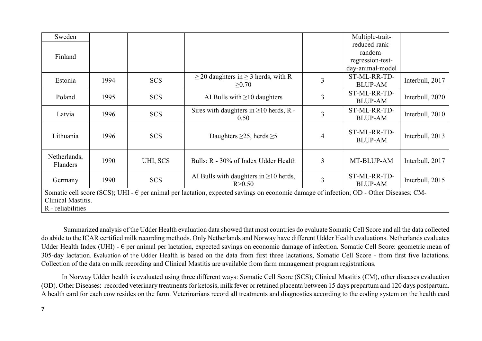| Sweden             |      |            |                                                                                                                                                 |                | Multiple-trait-  |                 |
|--------------------|------|------------|-------------------------------------------------------------------------------------------------------------------------------------------------|----------------|------------------|-----------------|
|                    |      |            |                                                                                                                                                 |                | reduced-rank-    |                 |
| Finland            |      |            |                                                                                                                                                 |                | random-          |                 |
|                    |      |            |                                                                                                                                                 |                | regression-test- |                 |
|                    |      |            |                                                                                                                                                 |                | day-animal-model |                 |
| Estonia            | 1994 | <b>SCS</b> | $\geq$ 20 daughters in $\geq$ 3 herds, with R                                                                                                   | 3              | ST-ML-RR-TD-     | Interbull, 2017 |
|                    |      |            | $\geq 0.70$                                                                                                                                     |                | <b>BLUP-AM</b>   |                 |
|                    |      |            |                                                                                                                                                 |                | ST-ML-RR-TD-     |                 |
| Poland             | 1995 | <b>SCS</b> | AI Bulls with $\geq 10$ daughters                                                                                                               | 3              | <b>BLUP-AM</b>   | Interbull, 2020 |
|                    |      |            | Sires with daughters in $\geq 10$ herds, R -                                                                                                    |                | ST-ML-RR-TD-     |                 |
| Latvia             | 1996 | <b>SCS</b> | 0.50                                                                                                                                            | 3              | <b>BLUP-AM</b>   | Interbull, 2010 |
|                    |      |            |                                                                                                                                                 |                |                  |                 |
| Lithuania          | 1996 | <b>SCS</b> | Daughters $\geq$ 25, herds $\geq$ 5                                                                                                             | 4              | ST-ML-RR-TD-     | Interbull, 2013 |
|                    |      |            |                                                                                                                                                 |                | <b>BLUP-AM</b>   |                 |
| Netherlands,       |      |            |                                                                                                                                                 |                |                  |                 |
| Flanders           | 1990 | UHI, SCS   | Bulls: R - 30% of Index Udder Health                                                                                                            | 3              | MT-BLUP-AM       | Interbull, 2017 |
|                    |      |            |                                                                                                                                                 |                |                  |                 |
| Germany            | 1990 | <b>SCS</b> | AI Bulls with daughters in $\geq$ 10 herds,                                                                                                     | $\overline{3}$ | ST-ML-RR-TD-     | Interbull, 2015 |
|                    |      |            | R > 0.50                                                                                                                                        |                | <b>BLUP-AM</b>   |                 |
|                    |      |            | Somatic cell score (SCS); UHI - $\epsilon$ per animal per lactation, expected savings on economic damage of infection; OD - Other Diseases; CM- |                |                  |                 |
| Clinical Mastitis. |      |            |                                                                                                                                                 |                |                  |                 |
| R - reliabilities  |      |            |                                                                                                                                                 |                |                  |                 |

Summarized analysis of the Udder Health evaluation data showed that most countries do evaluate Somatic Cell Score and all the data collected do abide to the ICAR certified milk recording methods. Only Netherlands and Norway have different Udder Health evaluations. Netherlands evaluates Udder Health Index (UHI) -  $\epsilon$  per animal per lactation, expected savings on economic damage of infection. Somatic Cell Score: geometric mean of 305-day lactation. Evaluation of the Udder Health is based on the data from first three lactations, Somatic Cell Score - from first five lactations. Collection of the data on milk recording and Clinical Mastitis are available from farm management program registrations.

In Norway Udder health is evaluated using three different ways: Somatic Cell Score (SCS); Clinical Mastitis (CM), other diseases evaluation (OD). Other Diseases: recorded veterinary treatments for ketosis, milk fever or retained placenta between 15 days prepartum and 120 days postpartum. A health card for each cow resides on the farm. Veterinarians record all treatments and diagnostics according to the coding system on the health card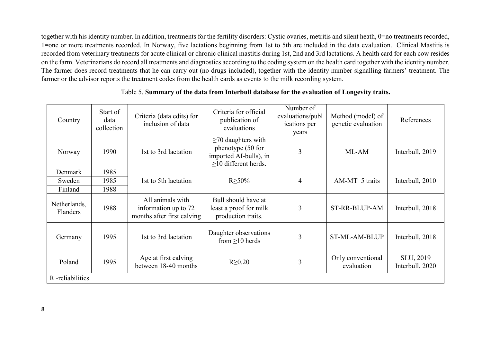together with his identity number. In addition, treatments for the fertility disorders: Cystic ovaries, metritis and silent heath, 0=no treatments recorded, 1=one or more treatments recorded. In Norway, five lactations beginning from 1st to 5th are included in the data evaluation. Clinical Mastitis is recorded from veterinary treatments for acute clinical or chronic clinical mastitis during 1st, 2nd and 3rd lactations. A health card for each cow resides on the farm. Veterinarians do record all treatments and diagnostics according to the coding system on the health card together with the identity number. The farmer does record treatments that he can carry out (no drugs included), together with the identity number signalling farmers' treatment. The farmer or the advisor reports the treatment codes from the health cards as events to the milk recording system.

| Country                         | Start of<br>data<br>collection | Criteria (data edits) for<br>inclusion of data                         | Criteria for official<br>publication of<br>evaluations                                            | Number of<br>evaluations/publ<br><i>ications</i> per<br>years | Method (model) of<br>genetic evaluation | References                   |
|---------------------------------|--------------------------------|------------------------------------------------------------------------|---------------------------------------------------------------------------------------------------|---------------------------------------------------------------|-----------------------------------------|------------------------------|
| Norway                          | 1990                           | 1st to 3rd lactation                                                   | $\geq$ 70 daughters with<br>phenotype (50 for<br>imported AI-bulls), in<br>$>10$ different herds. | 3                                                             | ML-AM                                   | Interbull, 2019              |
| Denmark                         | 1985                           |                                                                        |                                                                                                   |                                                               |                                         |                              |
| Sweden                          | 1985                           | 1st to 5th lactation                                                   | $R \geq 50\%$                                                                                     | $\overline{4}$                                                | AM-MT 5 traits                          | Interbull, 2010              |
| Finland                         | 1988                           |                                                                        |                                                                                                   |                                                               |                                         |                              |
| Netherlands,<br><b>Flanders</b> | 1988                           | All animals with<br>information up to 72<br>months after first calving | Bull should have at<br>least a proof for milk<br>production traits.                               | 3                                                             | ST-RR-BLUP-AM                           | Interbull, 2018              |
| Germany                         | 1995                           | 1st to 3rd lactation                                                   | Daughter observations<br>from $\geq$ 10 herds                                                     | 3                                                             | <b>ST-ML-AM-BLUP</b>                    | Interbull, 2018              |
| Poland                          | 1995                           | Age at first calving<br>between 18-40 months                           | $R \geq 0.20$                                                                                     | $\overline{3}$                                                | Only conventional<br>evaluation         | SLU, 2019<br>Interbull, 2020 |
| R-reliabilities                 |                                |                                                                        |                                                                                                   |                                                               |                                         |                              |

### Table 5. **Summary of the data from Interbull database for the evaluation of Longevity traits.**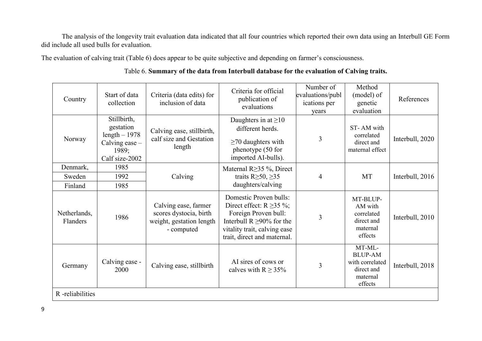The analysis of the longevity trait evaluation data indicated that all four countries which reported their own data using an Interbull GE Form did include all used bulls for evaluation.

The evaluation of calving trait (Table 6) does appear to be quite subjective and depending on farmer's consciousness.

| Country                  | Start of data<br>collection                                                               | Criteria (data edits) for<br>inclusion of data                                           | Criteria for official<br>publication of<br>evaluations                                                                                                                            | Number of<br>evaluations/publ<br>ications per<br>years | Method<br>(model) of<br>genetic<br>evaluation                                    | References      |
|--------------------------|-------------------------------------------------------------------------------------------|------------------------------------------------------------------------------------------|-----------------------------------------------------------------------------------------------------------------------------------------------------------------------------------|--------------------------------------------------------|----------------------------------------------------------------------------------|-----------------|
| Norway                   | Stillbirth,<br>gestation<br>length $-1978$<br>Calving ease $-$<br>1989;<br>Calf size-2002 | Calving ease, stillbirth,<br>calf size and Gestation<br>length                           | Daughters in at $\geq 10$<br>different herds.<br>$\geq$ 70 daughters with<br>phenotype (50 for<br>imported AI-bulls).                                                             | $\overline{3}$                                         | ST-AM with<br>correlated<br>direct and<br>maternal effect                        | Interbull, 2020 |
| Denmark,                 | 1985                                                                                      |                                                                                          | Maternal R $\geq$ 35 %, Direct                                                                                                                                                    |                                                        |                                                                                  |                 |
| Sweden                   | 1992                                                                                      | Calving                                                                                  | traits $R \geq 50$ , $\geq 35$                                                                                                                                                    | 4                                                      | MT                                                                               | Interbull, 2016 |
| Finland                  | 1985                                                                                      |                                                                                          | daughters/calving                                                                                                                                                                 |                                                        |                                                                                  |                 |
| Netherlands,<br>Flanders | 1986                                                                                      | Calving ease, farmer<br>scores dystocia, birth<br>weight, gestation length<br>- computed | Domestic Proven bulls:<br>Direct effect: $R \ge 35 \%$ ;<br>Foreign Proven bull:<br>Interbull R $\geq$ 90% for the<br>vitality trait, calving ease<br>trait, direct and maternal. | 3                                                      | MT-BLUP-<br>AM with<br>correlated<br>direct and<br>maternal<br>effects           | Interbull, 2010 |
| Germany                  | Calving ease -<br>2000                                                                    | Calving ease, stillbirth                                                                 | AI sires of cows or<br>calves with $R \ge 35\%$                                                                                                                                   | 3                                                      | MT-ML-<br><b>BLUP-AM</b><br>with correlated<br>direct and<br>maternal<br>effects | Interbull, 2018 |
| R-reliabilities          |                                                                                           |                                                                                          |                                                                                                                                                                                   |                                                        |                                                                                  |                 |

| Table 6. Summary of the data from Interbull database for the evaluation of Calving traits. |  |  |  |
|--------------------------------------------------------------------------------------------|--|--|--|
|                                                                                            |  |  |  |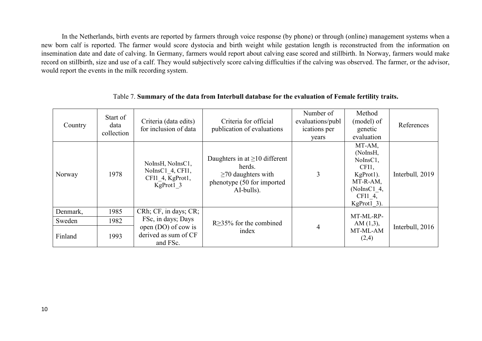In the Netherlands, birth events are reported by farmers through voice response (by phone) or through (online) management systems when a new born calf is reported. The farmer would score dystocia and birth weight while gestation length is reconstructed from the information on insemination date and date of calving. In Germany, farmers would report about calving ease scored and stillbirth. In Norway, farmers would make record on stillbirth, size and use of a calf. They would subjectively score calving difficulties if the calving was observed. The farmer, or the advisor, would report the events in the milk recording system.

| Country  | Start of<br>data<br>collection | Criteria (data edits)<br>for inclusion of data                        | Criteria for official<br>publication of evaluations                                                                   | Number of<br>evaluations/publ<br>ications per<br>years | Method<br>(model) of<br>genetic<br>evaluation                                                                     | References      |
|----------|--------------------------------|-----------------------------------------------------------------------|-----------------------------------------------------------------------------------------------------------------------|--------------------------------------------------------|-------------------------------------------------------------------------------------------------------------------|-----------------|
| Norway   | 1978                           | NoInsH, NoInsC1,<br>NoInsC1 4, CFI1,<br>CFI1 4, KgProt1,<br>KgProt1 3 | Daughters in at $\geq$ 10 different<br>herds.<br>$\geq$ 70 daughters with<br>phenotype (50 for imported<br>AI-bulls). | 3                                                      | MT-AM,<br>(NoInsH,<br>NoInsC1,<br>CFI1,<br>$KgProt1$ ).<br>MT-R-AM,<br>(NolnsC1 4,<br>CFI1_4,<br>KgProt $1\,$ 3). | Interbull, 2019 |
| Denmark, | 1985                           | CRh; CF, in days; CR;                                                 |                                                                                                                       |                                                        | MT-ML-RP-                                                                                                         |                 |
| Sweden   | 1982                           | FSc, in days; Days                                                    | $R > 35\%$ for the combined                                                                                           |                                                        | AM(1,3),                                                                                                          |                 |
| Finland  | 1993                           | open (DO) of cow is<br>derived as sum of CF<br>and FSc.               | index                                                                                                                 | $\overline{4}$                                         | MT-ML-AM<br>(2,4)                                                                                                 | Interbull, 2016 |

#### Table 7. **Summary of the data from Interbull database for the evaluation of Female fertility traits.**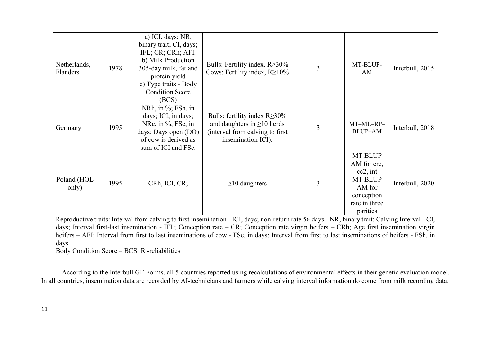| Netherlands,<br>Flanders                                                                                                                                                                                                                                                                                                                                                                                                                              | 1978 | a) ICI, days; NR,<br>binary trait; CI, days;<br>IFL; CR; CRh; AFI.<br>b) Milk Production<br>305-day milk, fat and<br>protein yield<br>c) Type traits - Body<br><b>Condition Score</b><br>(BCS) | Bulls: Fertility index, R≥30%<br>Cows: Fertility index, $R \ge 10\%$                                                       | $\overline{3}$ | MT-BLUP-<br>AM                                                                                                      | Interbull, 2015 |  |
|-------------------------------------------------------------------------------------------------------------------------------------------------------------------------------------------------------------------------------------------------------------------------------------------------------------------------------------------------------------------------------------------------------------------------------------------------------|------|------------------------------------------------------------------------------------------------------------------------------------------------------------------------------------------------|----------------------------------------------------------------------------------------------------------------------------|----------------|---------------------------------------------------------------------------------------------------------------------|-----------------|--|
| Germany                                                                                                                                                                                                                                                                                                                                                                                                                                               | 1995 | NRh, in %; FSh, in<br>days; ICI, in days;<br>NRc, in %; FSc, in<br>days; Days open (DO)<br>of cow is derived as<br>sum of ICI and FSc.                                                         | Bulls: fertility index R≥30%<br>and daughters in $\geq$ 10 herds<br>(interval from calving to first)<br>insemination ICI). | 3              | MT-ML-RP-<br><b>BLUP-AM</b>                                                                                         | Interbull, 2018 |  |
| Poland (HOL<br>only)                                                                                                                                                                                                                                                                                                                                                                                                                                  | 1995 | CRh, ICI, CR;                                                                                                                                                                                  | $\geq$ 10 daughters                                                                                                        | 3              | <b>MT BLUP</b><br>AM for crc,<br>$cc2$ , int<br><b>MT BLUP</b><br>AM for<br>conception<br>rate in three<br>parities | Interbull, 2020 |  |
| Reproductive traits: Interval from calving to first insemination - ICI, days; non-return rate 56 days - NR, binary trait; Calving Interval - CI,<br>days; Interval first-last insemination - IFL; Conception rate – CR; Conception rate virgin heifers – CRh; Age first insemination virgin<br>heifers – AFI; Interval from first to last inseminations of cow - FSc, in days; Interval from first to last inseminations of heifers - FSh, in<br>days |      |                                                                                                                                                                                                |                                                                                                                            |                |                                                                                                                     |                 |  |

Body Condition Score – BCS; R -reliabilities

According to the Interbull GE Forms, all 5 countries reported using recalculations of environmental effects in their genetic evaluation model. In all countries, insemination data are recorded by AI-technicians and farmers while calving interval information do come from milk recording data.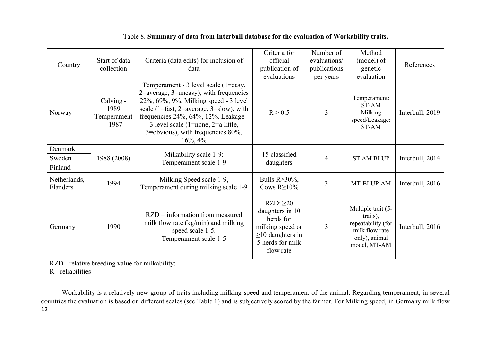| Country                                                             | Start of data<br>collection                 | Criteria (data edits) for inclusion of<br>data                                                                                                                                                                                                                                                         | Criteria for<br>official<br>publication of<br>evaluations                                                               | Number of<br>evaluations/<br>publications<br>per years | Method<br>(model) of<br>genetic<br>evaluation                                                           | References      |
|---------------------------------------------------------------------|---------------------------------------------|--------------------------------------------------------------------------------------------------------------------------------------------------------------------------------------------------------------------------------------------------------------------------------------------------------|-------------------------------------------------------------------------------------------------------------------------|--------------------------------------------------------|---------------------------------------------------------------------------------------------------------|-----------------|
| Norway                                                              | Calving -<br>1989<br>Temperament<br>$-1987$ | Temperament - 3 level scale (1=easy,<br>2=average, 3=uneasy), with frequencies<br>22%, 69%, 9%. Milking speed - 3 level<br>scale (1=fast, 2=average, 3=slow), with<br>frequencies 24%, 64%, 12%. Leakage -<br>3 level scale (1=none, $2=a$ little,<br>3=obvious), with frequencies 80%,<br>$16\%, 4\%$ | R > 0.5                                                                                                                 | 3                                                      | Temperament:<br>ST-AM<br>Milking<br>speed/Leakage:<br>ST-AM                                             | Interbull, 2019 |
| Denmark<br>Sweden<br>Finland                                        | 1988 (2008)                                 | Milkability scale 1-9;<br>Temperament scale 1-9                                                                                                                                                                                                                                                        | 15 classified<br>daughters                                                                                              | $\overline{4}$                                         | <b>ST AM BLUP</b>                                                                                       | Interbull, 2014 |
| Netherlands,<br>Flanders                                            | 1994                                        | Milking Speed scale 1-9,<br>Temperament during milking scale 1-9                                                                                                                                                                                                                                       | Bulls $R \geq 30\%$ ,<br>Cows $R \geq 10\%$                                                                             | 3                                                      | MT-BLUP-AM                                                                                              | Interbull, 2016 |
| Germany                                                             | 1990                                        | $RZD$ = information from measured<br>milk flow rate (kg/min) and milking<br>speed scale 1-5.<br>Temperament scale 1-5                                                                                                                                                                                  | RZD: >20<br>daughters in 10<br>herds for<br>milking speed or<br>$\geq$ 10 daughters in<br>5 herds for milk<br>flow rate | 3                                                      | Multiple trait (5-<br>traits),<br>repeatability (for<br>milk flow rate<br>only), animal<br>model, MT-AM | Interbull, 2016 |
| RZD - relative breeding value for milkability:<br>R - reliabilities |                                             |                                                                                                                                                                                                                                                                                                        |                                                                                                                         |                                                        |                                                                                                         |                 |
|                                                                     |                                             |                                                                                                                                                                                                                                                                                                        |                                                                                                                         |                                                        |                                                                                                         |                 |

## Table 8. **Summary of data from Interbull database for the evaluation of Workability traits.**

Workability is a relatively new group of traits including milking speed and temperament of the animal. Regarding temperament, in several countries the evaluation is based on different scales (see Table 1) and is subjectively scored by the farmer. For Milking speed, in Germany milk flow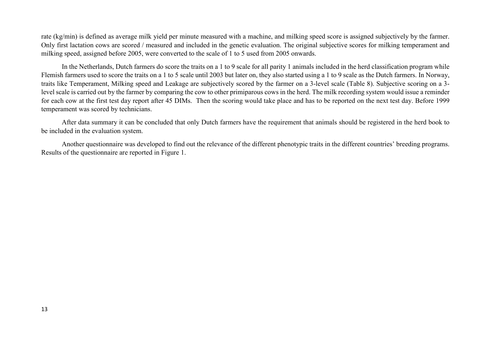rate (kg/min) is defined as average milk yield per minute measured with a machine, and milking speed score is assigned subjectively by the farmer. Only first lactation cows are scored / measured and included in the genetic evaluation. The original subjective scores for milking temperament and milking speed, assigned before 2005, were converted to the scale of 1 to 5 used from 2005 onwards.

In the Netherlands, Dutch farmers do score the traits on a 1 to 9 scale for all parity 1 animals included in the herd classification program while Flemish farmers used to score the traits on a 1 to 5 scale until 2003 but later on, they also started using a 1 to 9 scale as the Dutch farmers. In Norway, traits like Temperament, Milking speed and Leakage are subjectively scored by the farmer on a 3-level scale (Table 8). Subjective scoring on a 3 level scale is carried out by the farmer by comparing the cow to other primiparous cows in the herd. The milk recording system would issue a reminder for each cow at the first test day report after 45 DIMs. Then the scoring would take place and has to be reported on the next test day. Before 1999 temperament was scored by technicians.

After data summary it can be concluded that only Dutch farmers have the requirement that animals should be registered in the herd book to be included in the evaluation system.

Another questionnaire was developed to find out the relevance of the different phenotypic traits in the different countries' breeding programs. Results of the questionnaire are reported in Figure 1.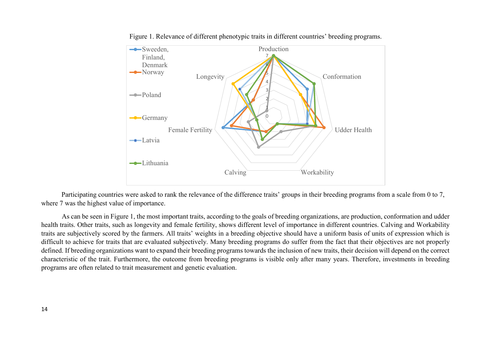

Figure 1. Relevance of different phenotypic traits in different countries' breeding programs.

Participating countries were asked to rank the relevance of the difference traits' groups in their breeding programs from a scale from 0 to 7, where 7 was the highest value of importance.

As can be seen in Figure 1, the most important traits, according to the goals of breeding organizations, are production, conformation and udder health traits. Other traits, such as longevity and female fertility, shows different level of importance in different countries. Calving and Workability traits are subjectively scored by the farmers. All traits' weights in a breeding objective should have a uniform basis of units of expression which is difficult to achieve for traits that are evaluated subjectively. Many breeding programs do suffer from the fact that their objectives are not properly defined. If breeding organizations want to expand their breeding programs towards the inclusion of new traits, their decision will depend on the correct characteristic of the trait. Furthermore, the outcome from breeding programs is visible only after many years. Therefore, investments in breeding programs are often related to trait measurement and genetic evaluation.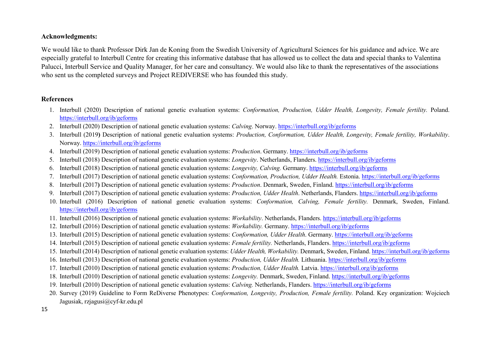#### **Acknowledgments:**

We would like to thank Professor Dirk Jan de Koning from the Swedish University of Agricultural Sciences for his guidance and advice. We are especially grateful to Interbull Centre for creating this informative database that has allowed us to collect the data and special thanks to Valentina Palucci, Interbull Service and Quality Manager, for her care and consultancy. We would also like to thank the representatives of the associations who sent us the completed surveys and Project REDIVERSE who has founded this study.

#### **References**

- 1. Interbull (2020) Description of national genetic evaluation systems: *Conformation, Production, Udder Health, Longevity, Female fertility.* Poland. <https://interbull.org/ib/geforms>
- 2. Interbull (2020) Description of national genetic evaluation systems: *Calving*. Norway.<https://interbull.org/ib/geforms>
- 3. Interbull (2019**)** Description of national genetic evaluation systems: *Production, Conformation, Udder Health, Longevity, Female fertility, Workability*. Norway.<https://interbull.org/ib/geforms>
- 4. Interbull (2019) Description of national genetic evaluation systems: *Production*. Germany.<https://interbull.org/ib/geforms>
- 5. Interbull (2018) Description of national genetic evaluation systems: *Longevity*. Netherlands, Flanders.<https://interbull.org/ib/geforms>
- 6. Interbull (2018) Description of national genetic evaluation systems: *Longevity, Calving.* Germany.<https://interbull.org/ib/geforms>
- 7. Interbull (2017) Description of national genetic evaluation systems: *Conformation, Production, Udder Health.* Estonia.<https://interbull.org/ib/geforms>
- 8. Interbull (2017**)** Description of national genetic evaluation systems: *Production*. Denmark, Sweden, Finland.<https://interbull.org/ib/geforms>
- 9. Interbull (2017) Description of national genetic evaluation systems: *Production, Udder Health*. Netherlands, Flanders.<https://interbull.org/ib/geforms>
- 10. Interbull (2016) Description of national genetic evaluation systems: *Conformation, Calving, Female fertility.* Denmark, Sweden, Finland. <https://interbull.org/ib/geforms>
- 11. Interbull (2016) Description of national genetic evaluation systems: *Workability*. Netherlands, Flanders.<https://interbull.org/ib/geforms>
- 12. Interbull (2016) Description of national genetic evaluation systems: *Workability.* Germany.<https://interbull.org/ib/geforms>
- 13. Interbull (2015) Description of national genetic evaluation systems: *Conformation, Udder Health*. Germany.<https://interbull.org/ib/geforms>
- 14. Interbull (2015) Description of national genetic evaluation systems: *Female fertility.* Netherlands, Flanders.<https://interbull.org/ib/geforms>
- 15. Interbull (2014) Description of national genetic evaluation systems: *Udder Health, Workability.* Denmark, Sweden, Finland[. https://interbull.org/ib/geforms](https://interbull.org/ib/geforms)
- 16. Interbull (2013) Description of national genetic evaluation systems: *Production, Udder Health.* Lithuania[. https://interbull.org/ib/geforms](https://interbull.org/ib/geforms)
- 17. Interbull (2010) Description of national genetic evaluation systems: *Production, Udder Health.* Latvia[. https://interbull.org/ib/geforms](https://interbull.org/ib/geforms)
- 18. Interbull (2010) Description of national genetic evaluation systems: *Longevity.* Denmark, Sweden, Finland.<https://interbull.org/ib/geforms>
- 19. Interbull (2010) Description of national genetic evaluation systems: *Calving.* Netherlands, Flanders.<https://interbull.org/ib/geforms>
- 20. Survey (2019) Guideline to Form ReDiverse Phenotypes: *Conformation, Longevity, Production, Female fertility.* Poland. Key organization: Wojciech Jagusiak, rzjagusi@cyf-kr.edu.pl